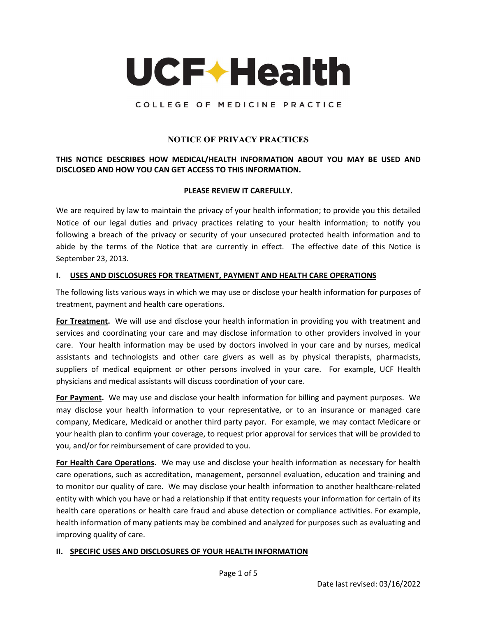

### COLLEGE OF MEDICINE PRACTICE

### **NOTICE OF PRIVACY PRACTICES**

## **THIS NOTICE DESCRIBES HOW MEDICAL/HEALTH INFORMATION ABOUT YOU MAY BE USED AND DISCLOSED AND HOW YOU CAN GET ACCESS TO THIS INFORMATION.**

#### **PLEASE REVIEW IT CAREFULLY.**

We are required by law to maintain the privacy of your health information; to provide you this detailed Notice of our legal duties and privacy practices relating to your health information; to notify you following a breach of the privacy or security of your unsecured protected health information and to abide by the terms of the Notice that are currently in effect. The effective date of this Notice is September 23, 2013.

#### **I. USES AND DISCLOSURES FOR TREATMENT, PAYMENT AND HEALTH CARE OPERATIONS**

The following lists various ways in which we may use or disclose your health information for purposes of treatment, payment and health care operations.

**For Treatment.** We will use and disclose your health information in providing you with treatment and services and coordinating your care and may disclose information to other providers involved in your care. Your health information may be used by doctors involved in your care and by nurses, medical assistants and technologists and other care givers as well as by physical therapists, pharmacists, suppliers of medical equipment or other persons involved in your care. For example, UCF Health physicians and medical assistants will discuss coordination of your care.

**For Payment.** We may use and disclose your health information for billing and payment purposes. We may disclose your health information to your representative, or to an insurance or managed care company, Medicare, Medicaid or another third party payor. For example, we may contact Medicare or your health plan to confirm your coverage, to request prior approval for services that will be provided to you, and/or for reimbursement of care provided to you.

**For Health Care Operations.** We may use and disclose your health information as necessary for health care operations, such as accreditation, management, personnel evaluation, education and training and to monitor our quality of care. We may disclose your health information to another healthcare-related entity with which you have or had a relationship if that entity requests your information for certain of its health care operations or health care fraud and abuse detection or compliance activities. For example, health information of many patients may be combined and analyzed for purposes such as evaluating and improving quality of care.

#### **II. SPECIFIC USES AND DISCLOSURES OF YOUR HEALTH INFORMATION**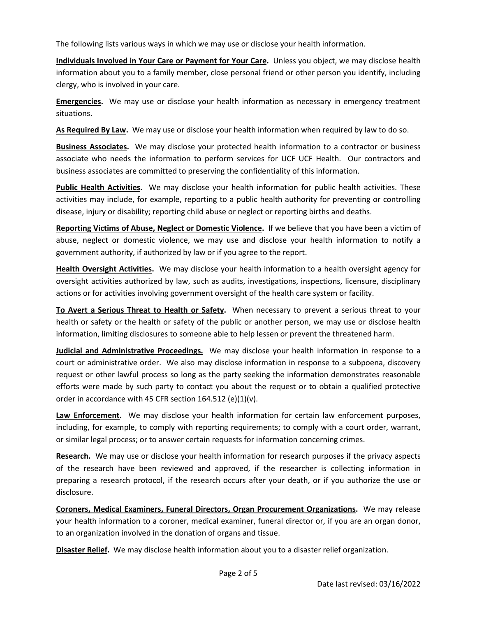The following lists various ways in which we may use or disclose your health information.

**Individuals Involved in Your Care or Payment for Your Care.** Unless you object, we may disclose health information about you to a family member, close personal friend or other person you identify, including clergy, who is involved in your care.

**Emergencies.** We may use or disclose your health information as necessary in emergency treatment situations.

**As Required By Law.** We may use or disclose your health information when required by law to do so.

**Business Associates.** We may disclose your protected health information to a contractor or business associate who needs the information to perform services for UCF UCF Health. Our contractors and business associates are committed to preserving the confidentiality of this information.

**Public Health Activities.** We may disclose your health information for public health activities. These activities may include, for example, reporting to a public health authority for preventing or controlling disease, injury or disability; reporting child abuse or neglect or reporting births and deaths.

**Reporting Victims of Abuse, Neglect or Domestic Violence.** If we believe that you have been a victim of abuse, neglect or domestic violence, we may use and disclose your health information to notify a government authority, if authorized by law or if you agree to the report.

**Health Oversight Activities.** We may disclose your health information to a health oversight agency for oversight activities authorized by law, such as audits, investigations, inspections, licensure, disciplinary actions or for activities involving government oversight of the health care system or facility.

**To Avert a Serious Threat to Health or Safety.** When necessary to prevent a serious threat to your health or safety or the health or safety of the public or another person, we may use or disclose health information, limiting disclosures to someone able to help lessen or prevent the threatened harm.

**Judicial and Administrative Proceedings.** We may disclose your health information in response to a court or administrative order. We also may disclose information in response to a subpoena, discovery request or other lawful process so long as the party seeking the information demonstrates reasonable efforts were made by such party to contact you about the request or to obtain a qualified protective order in accordance with 45 CFR section 164.512 (e)(1)(v).

**Law Enforcement.** We may disclose your health information for certain law enforcement purposes, including, for example, to comply with reporting requirements; to comply with a court order, warrant, or similar legal process; or to answer certain requests for information concerning crimes.

**Research.** We may use or disclose your health information for research purposes if the privacy aspects of the research have been reviewed and approved, if the researcher is collecting information in preparing a research protocol, if the research occurs after your death, or if you authorize the use or disclosure.

**Coroners, Medical Examiners, Funeral Directors, Organ Procurement Organizations.** We may release your health information to a coroner, medical examiner, funeral director or, if you are an organ donor, to an organization involved in the donation of organs and tissue.

**Disaster Relief.** We may disclose health information about you to a disaster relief organization.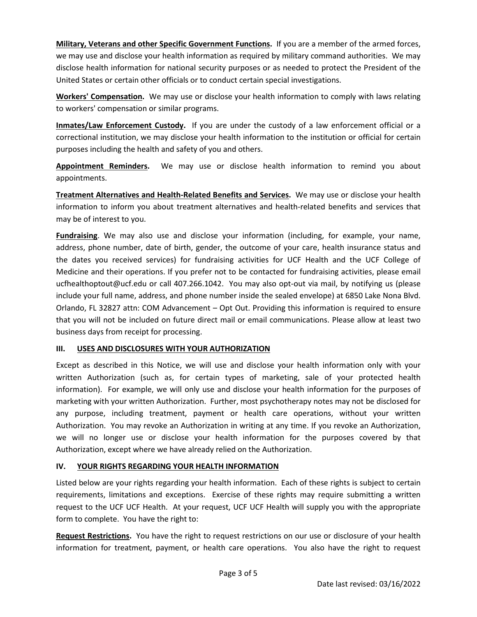**Military, Veterans and other Specific Government Functions.** If you are a member of the armed forces, we may use and disclose your health information as required by military command authorities. We may disclose health information for national security purposes or as needed to protect the President of the United States or certain other officials or to conduct certain special investigations.

**Workers' Compensation.** We may use or disclose your health information to comply with laws relating to workers' compensation or similar programs.

**Inmates/Law Enforcement Custody.** If you are under the custody of a law enforcement official or a correctional institution, we may disclose your health information to the institution or official for certain purposes including the health and safety of you and others.

**Appointment Reminders.** We may use or disclose health information to remind you about appointments.

**Treatment Alternatives and Health-Related Benefits and Services.** We may use or disclose your health information to inform you about treatment alternatives and health-related benefits and services that may be of interest to you.

**Fundraising**. We may also use and disclose your information (including, for example, your name, address, phone number, date of birth, gender, the outcome of your care, health insurance status and the dates you received services) for fundraising activities for UCF Health and the UCF College of Medicine and their operations. If you prefer not to be contacted for fundraising activities, please email ucfhealthoptout@ucf.edu or call 407.266.1042. You may also opt-out via mail, by notifying us (please include your full name, address, and phone number inside the sealed envelope) at 6850 Lake Nona Blvd. Orlando, FL 32827 attn: COM Advancement – Opt Out. Providing this information is required to ensure that you will not be included on future direct mail or email communications. Please allow at least two business days from receipt for processing.

## **III. USES AND DISCLOSURES WITH YOUR AUTHORIZATION**

Except as described in this Notice, we will use and disclose your health information only with your written Authorization (such as, for certain types of marketing, sale of your protected health information). For example, we will only use and disclose your health information for the purposes of marketing with your written Authorization. Further, most psychotherapy notes may not be disclosed for any purpose, including treatment, payment or health care operations, without your written Authorization. You may revoke an Authorization in writing at any time. If you revoke an Authorization, we will no longer use or disclose your health information for the purposes covered by that Authorization, except where we have already relied on the Authorization.

## **IV. YOUR RIGHTS REGARDING YOUR HEALTH INFORMATION**

Listed below are your rights regarding your health information. Each of these rights is subject to certain requirements, limitations and exceptions. Exercise of these rights may require submitting a written request to the UCF UCF Health. At your request, UCF UCF Health will supply you with the appropriate form to complete. You have the right to:

**Request Restrictions.** You have the right to request restrictions on our use or disclosure of your health information for treatment, payment, or health care operations. You also have the right to request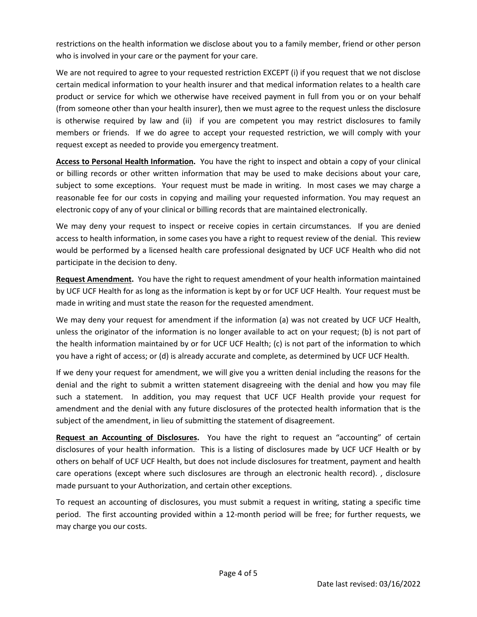restrictions on the health information we disclose about you to a family member, friend or other person who is involved in your care or the payment for your care.

We are not required to agree to your requested restriction EXCEPT (i) if you request that we not disclose certain medical information to your health insurer and that medical information relates to a health care product or service for which we otherwise have received payment in full from you or on your behalf (from someone other than your health insurer), then we must agree to the request unless the disclosure is otherwise required by law and (ii) if you are competent you may restrict disclosures to family members or friends. If we do agree to accept your requested restriction, we will comply with your request except as needed to provide you emergency treatment.

**Access to Personal Health Information.** You have the right to inspect and obtain a copy of your clinical or billing records or other written information that may be used to make decisions about your care, subject to some exceptions. Your request must be made in writing. In most cases we may charge a reasonable fee for our costs in copying and mailing your requested information. You may request an electronic copy of any of your clinical or billing records that are maintained electronically.

We may deny your request to inspect or receive copies in certain circumstances. If you are denied access to health information, in some cases you have a right to request review of the denial. This review would be performed by a licensed health care professional designated by UCF UCF Health who did not participate in the decision to deny.

**Request Amendment.** You have the right to request amendment of your health information maintained by UCF UCF Health for as long as the information is kept by or for UCF UCF Health. Your request must be made in writing and must state the reason for the requested amendment.

We may deny your request for amendment if the information (a) was not created by UCF UCF Health, unless the originator of the information is no longer available to act on your request; (b) is not part of the health information maintained by or for UCF UCF Health; (c) is not part of the information to which you have a right of access; or (d) is already accurate and complete, as determined by UCF UCF Health.

If we deny your request for amendment, we will give you a written denial including the reasons for the denial and the right to submit a written statement disagreeing with the denial and how you may file such a statement. In addition, you may request that UCF UCF Health provide your request for amendment and the denial with any future disclosures of the protected health information that is the subject of the amendment, in lieu of submitting the statement of disagreement.

**Request an Accounting of Disclosures.** You have the right to request an "accounting" of certain disclosures of your health information. This is a listing of disclosures made by UCF UCF Health or by others on behalf of UCF UCF Health, but does not include disclosures for treatment, payment and health care operations (except where such disclosures are through an electronic health record). , disclosure made pursuant to your Authorization, and certain other exceptions.

To request an accounting of disclosures, you must submit a request in writing, stating a specific time period. The first accounting provided within a 12-month period will be free; for further requests, we may charge you our costs.